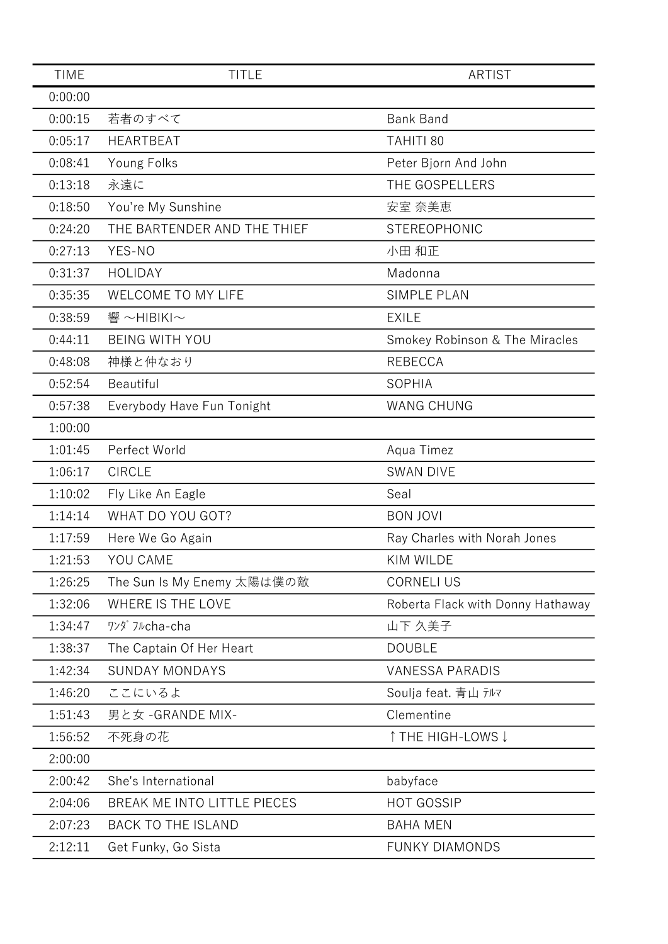| <b>TIME</b> | <b>TITLE</b>                | <b>ARTIST</b>                     |
|-------------|-----------------------------|-----------------------------------|
| 0:00:00     |                             |                                   |
| 0:00:15     | 若者のすべて                      | <b>Bank Band</b>                  |
| 0:05:17     | <b>HEARTBEAT</b>            | TAHITI 80                         |
| 0:08:41     | Young Folks                 | Peter Bjorn And John              |
| 0:13:18     | 永遠に                         | THE GOSPELLERS                    |
| 0:18:50     | You're My Sunshine          | 安室 奈美恵                            |
| 0:24:20     | THE BARTENDER AND THE THIEF | STEREOPHONIC                      |
| 0:27:13     | YES-NO                      | 小田 和正                             |
| 0:31:37     | <b>HOLIDAY</b>              | Madonna                           |
| 0:35:35     | WELCOME TO MY LIFE          | <b>SIMPLE PLAN</b>                |
| 0:38:59     | 響~HIBIKI~                   | <b>EXILE</b>                      |
| 0:44:11     | <b>BEING WITH YOU</b>       | Smokey Robinson & The Miracles    |
| 0:48:08     | 神様と仲なおり                     | <b>REBECCA</b>                    |
| 0:52:54     | Beautiful                   | <b>SOPHIA</b>                     |
| 0:57:38     | Everybody Have Fun Tonight  | <b>WANG CHUNG</b>                 |
| 1:00:00     |                             |                                   |
| 1:01:45     | Perfect World               | Aqua Timez                        |
| 1:06:17     | <b>CIRCLE</b>               | <b>SWAN DIVE</b>                  |
| 1:10:02     | Fly Like An Eagle           | Seal                              |
| 1:14:14     | WHAT DO YOU GOT?            | <b>BON JOVI</b>                   |
| 1:17:59     | Here We Go Again            | Ray Charles with Norah Jones      |
| 1:21:53     | YOU CAME                    | KIM WILDE                         |
| 1:26:25     | The Sun Is My Enemy 太陽は僕の敵  | <b>CORNELI US</b>                 |
| 1:32:06     | WHERE IS THE LOVE           | Roberta Flack with Donny Hathaway |
| 1:34:47     | ワンダ フルcha-cha               | 山下 久美子                            |
| 1:38:37     | The Captain Of Her Heart    | <b>DOUBLE</b>                     |
| 1:42:34     | <b>SUNDAY MONDAYS</b>       | <b>VANESSA PARADIS</b>            |
| 1:46:20     | ここにいるよ                      | Soulja feat. 青山 テルマ               |
| 1:51:43     | 男と女 - GRANDE MIX-           | Clementine                        |
| 1:56:52     | 不死身の花                       | ↑ THE HIGH-LOWS ↓                 |
| 2:00:00     |                             |                                   |
| 2:00:42     | She's International         | babyface                          |
| 2:04:06     | BREAK ME INTO LITTLE PIECES | <b>HOT GOSSIP</b>                 |
| 2:07:23     | <b>BACK TO THE ISLAND</b>   | <b>BAHA MEN</b>                   |
| 2:12:11     | Get Funky, Go Sista         | <b>FUNKY DIAMONDS</b>             |
|             |                             |                                   |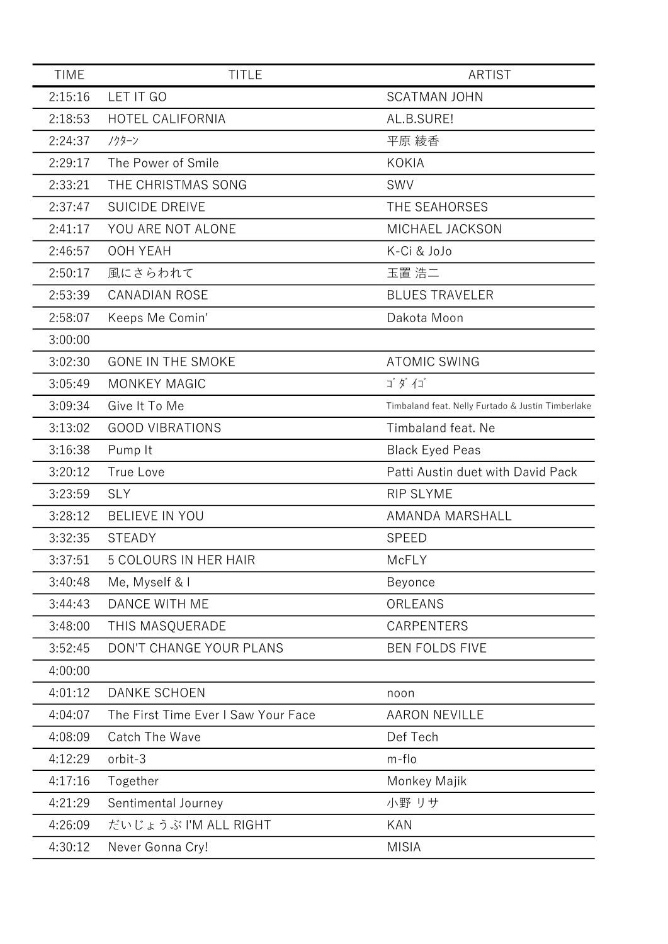| <b>TIME</b> | <b>TITLE</b>                        | <b>ARTIST</b>                                     |
|-------------|-------------------------------------|---------------------------------------------------|
| 2:15:16     | LET IT GO                           | <b>SCATMAN JOHN</b>                               |
| 2:18:53     | HOTEL CALIFORNIA                    | AL.B.SURE!                                        |
| 2:24:37     | ノクターン                               | 平原 綾香                                             |
| 2:29:17     | The Power of Smile                  | <b>KOKIA</b>                                      |
| 2:33:21     | THE CHRISTMAS SONG                  | SWV                                               |
| 2:37:47     | <b>SUICIDE DREIVE</b>               | THE SEAHORSES                                     |
| 2:41:17     | YOU ARE NOT ALONE                   | MICHAEL JACKSON                                   |
| 2:46:57     | OOH YEAH                            | K-Ci & JoJo                                       |
| 2:50:17     | 風にさらわれて                             | 玉置 浩二                                             |
| 2:53:39     | <b>CANADIAN ROSE</b>                | <b>BLUES TRAVELER</b>                             |
| 2:58:07     | Keeps Me Comin'                     | Dakota Moon                                       |
| 3:00:00     |                                     |                                                   |
| 3:02:30     | <b>GONE IN THE SMOKE</b>            | <b>ATOMIC SWING</b>                               |
| 3:05:49     | <b>MONKEY MAGIC</b>                 | ゴダイゴ                                              |
| 3:09:34     | Give It To Me                       | Timbaland feat. Nelly Furtado & Justin Timberlake |
| 3:13:02     | <b>GOOD VIBRATIONS</b>              | Timbaland feat. Ne                                |
| 3:16:38     | Pump It                             | <b>Black Eyed Peas</b>                            |
| 3:20:12     | True Love                           | Patti Austin duet with David Pack                 |
| 3:23:59     | <b>SLY</b>                          | RIP SLYME                                         |
| 3:28:12     | <b>BELIEVE IN YOU</b>               | AMANDA MARSHALL                                   |
| 3:32:35     | <b>STEADY</b>                       | <b>SPEED</b>                                      |
| 3:37:51     | <b>5 COLOURS IN HER HAIR</b>        | McFLY                                             |
| 3:40:48     | Me, Myself & I                      | Beyonce                                           |
| 3:44:43     | DANCE WITH ME                       | ORLEANS                                           |
| 3:48:00     | THIS MASQUERADE                     | <b>CARPENTERS</b>                                 |
| 3:52:45     | DON'T CHANGE YOUR PLANS             | <b>BEN FOLDS FIVE</b>                             |
| 4:00:00     |                                     |                                                   |
| 4:01:12     | <b>DANKE SCHOEN</b>                 | noon                                              |
| 4:04:07     | The First Time Ever I Saw Your Face | <b>AARON NEVILLE</b>                              |
| 4:08:09     | <b>Catch The Wave</b>               | Def Tech                                          |
| 4:12:29     | orbit-3                             | m-flo                                             |
| 4:17:16     | Together                            | Monkey Majik                                      |
| 4:21:29     | Sentimental Journey                 | 小野 リサ                                             |
| 4:26:09     | だいじょうぶ I'M ALL RIGHT                | <b>KAN</b>                                        |
| 4:30:12     | Never Gonna Cry!                    | <b>MISIA</b>                                      |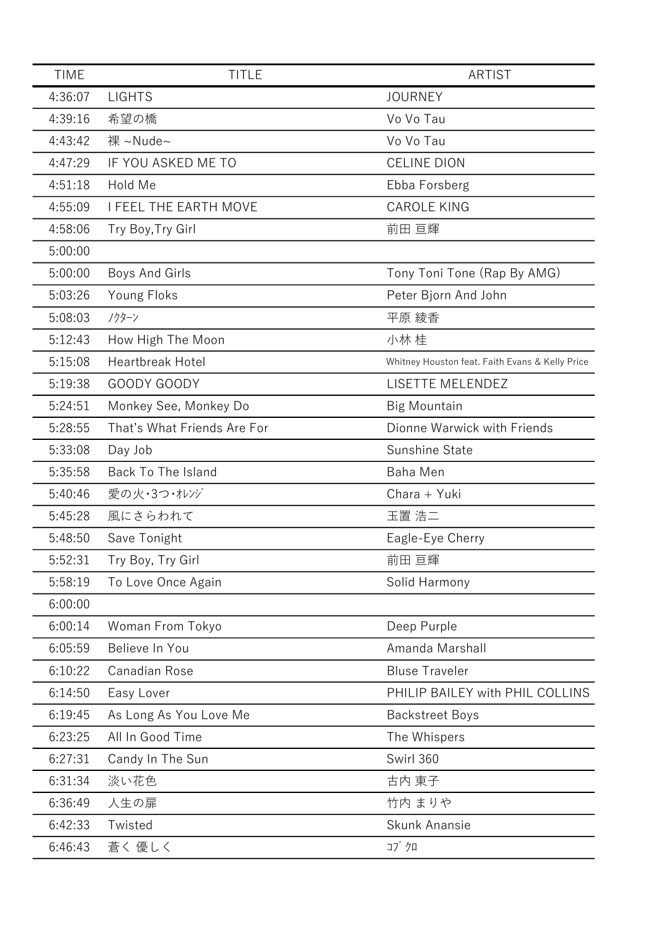| <b>TIME</b> | <b>TITLE</b>                 | <b>ARTIST</b>                                   |
|-------------|------------------------------|-------------------------------------------------|
| 4:36:07     | <b>LIGHTS</b>                | <b>JOURNEY</b>                                  |
| 4:39:16     | 希望の橋                         | Vo Vo Tau                                       |
| 4:43:42     | 裸 ~Nude~                     | Vo Vo Tau                                       |
| 4:47:29     | IF YOU ASKED ME TO           | <b>CELINE DION</b>                              |
| 4:51:18     | Hold Me                      | Ebba Forsberg                                   |
| 4:55:09     | <b>I FEEL THE EARTH MOVE</b> | <b>CAROLE KING</b>                              |
| 4:58:06     | Try Boy, Try Girl            | 前田 亘輝                                           |
| 5:00:00     |                              |                                                 |
| 5:00:00     | Boys And Girls               | Tony Toni Tone (Rap By AMG)                     |
| 5:03:26     | Young Floks                  | Peter Bjorn And John                            |
| 5:08:03     | ノクターン                        | 平原 綾香                                           |
| 5:12:43     | How High The Moon            | 小林 桂                                            |
| 5:15:08     | Heartbreak Hotel             | Whitney Houston feat. Faith Evans & Kelly Price |
| 5:19:38     | GOODY GOODY                  | LISETTE MELENDEZ                                |
| 5:24:51     | Monkey See, Monkey Do        | <b>Big Mountain</b>                             |
| 5:28:55     | That's What Friends Are For  | Dionne Warwick with Friends                     |
| 5:33:08     | Day Job                      | Sunshine State                                  |
| 5:35:58     | Back To The Island           | Baha Men                                        |
| 5:40:46     | 愛の火・3つ・オレンジ                  | Chara + Yuki                                    |
| 5:45:28     | 風にさらわれて                      | 玉置 浩二                                           |
| 5:48:50     | Save Tonight                 | Eagle-Eye Cherry                                |
| 5:52:31     | Try Boy, Try Girl            | 前田 亘輝                                           |
| 5:58:19     | To Love Once Again           | Solid Harmony                                   |
| 6:00:00     |                              |                                                 |
| 6:00:14     | Woman From Tokyo             | Deep Purple                                     |
| 6:05:59     | Believe In You               | Amanda Marshall                                 |
| 6:10:22     | Canadian Rose                | <b>Bluse Traveler</b>                           |
| 6:14:50     | Easy Lover                   | PHILIP BAILEY with PHIL COLLINS                 |
| 6:19:45     | As Long As You Love Me       | <b>Backstreet Boys</b>                          |
| 6:23:25     | All In Good Time             | The Whispers                                    |
| 6:27:31     | Candy In The Sun             | Swirl 360                                       |
| 6:31:34     | 淡い花色                         | 古内 東子                                           |
| 6:36:49     | 人生の扉                         | 竹内 まりや                                          |
| 6:42:33     | Twisted                      | Skunk Anansie                                   |
| 6:46:43     | 蒼く 優しく                       | コブクロ                                            |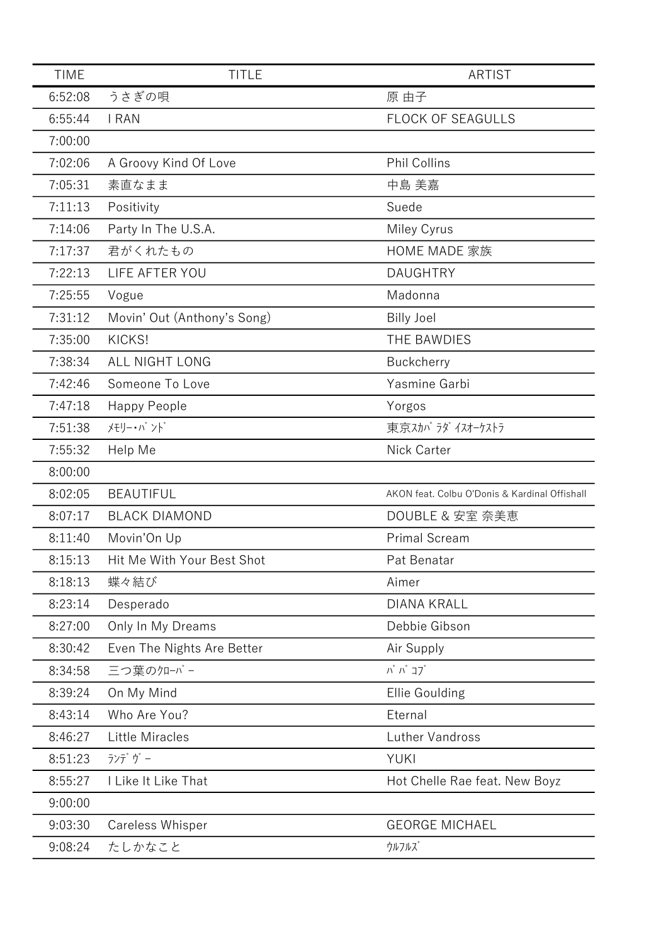| <b>TIME</b> | <b>TITLE</b>                | <b>ARTIST</b>                                 |
|-------------|-----------------------------|-----------------------------------------------|
| 6:52:08     | うさぎの唄                       | 原 由子                                          |
| 6:55:44     | I RAN                       | <b>FLOCK OF SEAGULLS</b>                      |
| 7:00:00     |                             |                                               |
| 7:02:06     | A Groovy Kind Of Love       | <b>Phil Collins</b>                           |
| 7:05:31     | 素直なまま                       | 中島 美嘉                                         |
| 7:11:13     | Positivity                  | Suede                                         |
| 7:14:06     | Party In The U.S.A.         | Miley Cyrus                                   |
| 7:17:37     | 君がくれたもの                     | <b>HOME MADE 家族</b>                           |
| 7:22:13     | LIFE AFTER YOU              | <b>DAUGHTRY</b>                               |
| 7:25:55     | Vogue                       | Madonna                                       |
| 7:31:12     | Movin' Out (Anthony's Song) | <b>Billy Joel</b>                             |
| 7:35:00     | KICKS!                      | THE BAWDIES                                   |
| 7:38:34     | <b>ALL NIGHT LONG</b>       | <b>Buckcherry</b>                             |
| 7:42:46     | Someone To Love             | Yasmine Garbi                                 |
| 7:47:18     | Happy People                | Yorgos                                        |
| 7:51:38     | メモリー・バンド                    | 東京スカバラダイスオーケストラ                               |
| 7:55:32     | Help Me                     | Nick Carter                                   |
| 8:00:00     |                             |                                               |
| 8:02:05     | <b>BEAUTIFUL</b>            | AKON feat. Colbu O'Donis & Kardinal Offishall |
| 8:07:17     | <b>BLACK DIAMOND</b>        | DOUBLE & 安室 奈美恵                               |
| 8:11:40     | Movin'On Up                 | <b>Primal Scream</b>                          |
| 8:15:13     | Hit Me With Your Best Shot  | Pat Benatar                                   |
| 8:18:13     | 蝶々結び                        | Aimer                                         |
| 8:23:14     | Desperado                   | <b>DIANA KRALL</b>                            |
| 8:27:00     | Only In My Dreams           | Debbie Gibson                                 |
| 8:30:42     | Even The Nights Are Better  | Air Supply                                    |
| 8:34:58     | 三つ葉のクローバー                   | バ バ コブ                                        |
| 8:39:24     | On My Mind                  | Ellie Goulding                                |
| 8:43:14     | Who Are You?                | Eternal                                       |
| 8:46:27     | <b>Little Miracles</b>      | Luther Vandross                               |
| 8:51:23     | ランデヴー                       | YUKI                                          |
| 8:55:27     | I Like It Like That         | Hot Chelle Rae feat. New Boyz                 |
| 9:00:00     |                             |                                               |
| 9:03:30     | Careless Whisper            | <b>GEORGE MICHAEL</b>                         |
| 9:08:24     | たしかなこと                      | ウルフルズ                                         |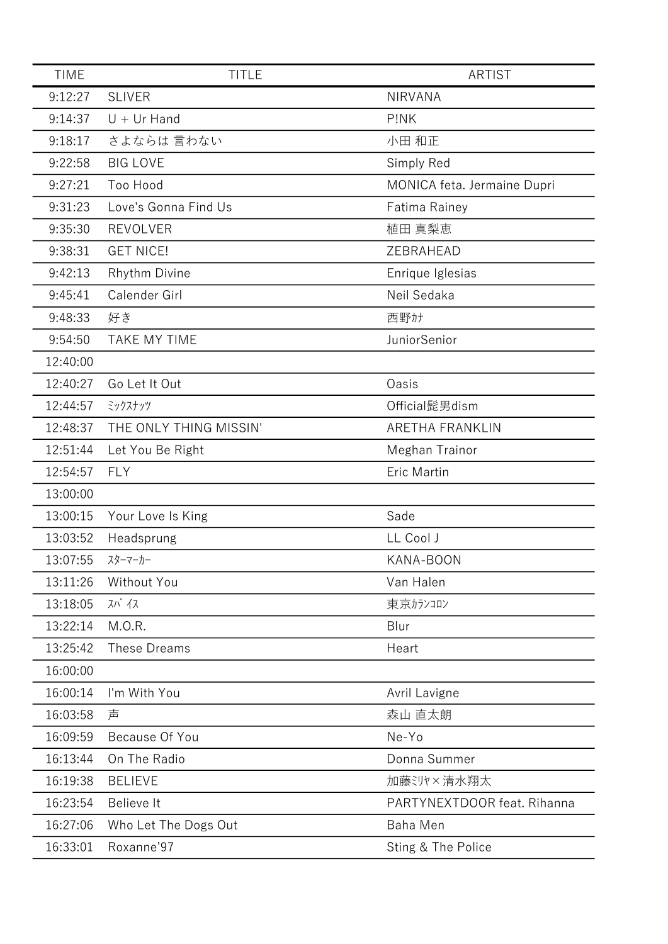| <b>TIME</b> | <b>TITLE</b>           | <b>ARTIST</b>               |
|-------------|------------------------|-----------------------------|
| 9:12:27     | <b>SLIVER</b>          | <b>NIRVANA</b>              |
| 9:14:37     | $U + Ur$ Hand          | P!NK                        |
| 9:18:17     | さよならは 言わない             | 小田 和正                       |
| 9:22:58     | <b>BIG LOVE</b>        | Simply Red                  |
| 9:27:21     | Too Hood               | MONICA feta. Jermaine Dupri |
| 9:31:23     | Love's Gonna Find Us   | Fatima Rainey               |
| 9:35:30     | <b>REVOLVER</b>        | 植田 真梨恵                      |
| 9:38:31     | <b>GET NICE!</b>       | ZEBRAHEAD                   |
| 9:42:13     | Rhythm Divine          | Enrique Iglesias            |
| 9:45:41     | Calender Girl          | Neil Sedaka                 |
| 9:48:33     | 好き                     | 西野カナ                        |
| 9:54:50     | <b>TAKE MY TIME</b>    | JuniorSenior                |
| 12:40:00    |                        |                             |
| 12:40:27    | Go Let It Out          | Oasis                       |
| 12:44:57    | ミックスナッツ                | Official髭男dism              |
| 12:48:37    | THE ONLY THING MISSIN' | ARETHA FRANKLIN             |
| 12:51:44    | Let You Be Right       | Meghan Trainor              |
| 12:54:57    | <b>FLY</b>             | Eric Martin                 |
| 13:00:00    |                        |                             |
| 13:00:15    | Your Love Is King      | Sade                        |
| 13:03:52    | Headsprung             | LL Cool J                   |
| 13:07:55    | スターマーカー                | KANA-BOON                   |
| 13:11:26    | Without You            | Van Halen                   |
| 13:18:05    | スパ イス                  | 東京カランコロン                    |
| 13:22:14    | M.O.R.                 | Blur                        |
| 13:25:42    | These Dreams           | Heart                       |
| 16:00:00    |                        |                             |
| 16:00:14    | I'm With You           | Avril Lavigne               |
| 16:03:58    | 声                      | 森山 直太朗                      |
| 16:09:59    | Because Of You         | Ne-Yo                       |
| 16:13:44    | On The Radio           | Donna Summer                |
| 16:19:38    | <b>BELIEVE</b>         | 加藤ミリヤ×清水翔太                  |
| 16:23:54    | Believe It             | PARTYNEXTDOOR feat. Rihanna |
| 16:27:06    | Who Let The Dogs Out   | <b>Baha Men</b>             |
| 16:33:01    | Roxanne'97             | Sting & The Police          |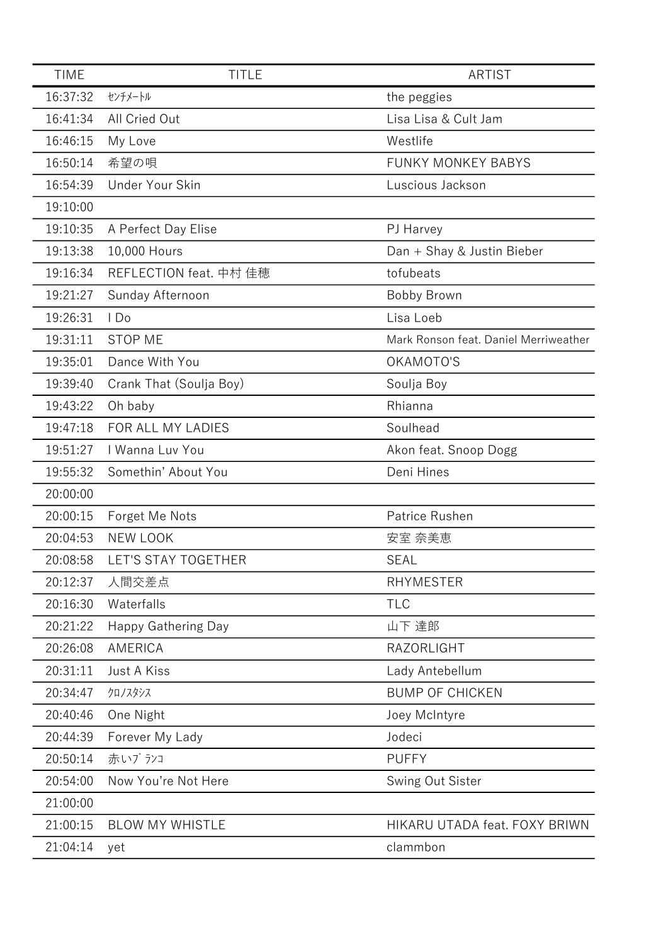| <b>TIME</b> | <b>TITLE</b>               | <b>ARTIST</b>                         |
|-------------|----------------------------|---------------------------------------|
| 16:37:32    | センチメートル                    | the peggies                           |
| 16:41:34    | All Cried Out              | Lisa Lisa & Cult Jam                  |
| 16:46:15    | My Love                    | Westlife                              |
| 16:50:14    | 希望の唄                       | <b>FUNKY MONKEY BABYS</b>             |
| 16:54:39    | Under Your Skin            | Luscious Jackson                      |
| 19:10:00    |                            |                                       |
| 19:10:35    | A Perfect Day Elise        | PJ Harvey                             |
| 19:13:38    | 10,000 Hours               | Dan + Shay & Justin Bieber            |
| 19:16:34    | REFLECTION feat. 中村 佳穂     | tofubeats                             |
| 19:21:27    | Sunday Afternoon           | Bobby Brown                           |
| 19:26:31    | I Do                       | Lisa Loeb                             |
| 19:31:11    | <b>STOP ME</b>             | Mark Ronson feat. Daniel Merriweather |
| 19:35:01    | Dance With You             | OKAMOTO'S                             |
| 19:39:40    | Crank That (Soulja Boy)    | Soulja Boy                            |
| 19:43:22    | Oh baby                    | Rhianna                               |
| 19:47:18    | FOR ALL MY LADIES          | Soulhead                              |
| 19:51:27    | I Wanna Luv You            | Akon feat. Snoop Dogg                 |
| 19:55:32    | Somethin' About You        | Deni Hines                            |
| 20:00:00    |                            |                                       |
| 20:00:15    | Forget Me Nots             | Patrice Rushen                        |
| 20:04:53    | <b>NEW LOOK</b>            | 安室 奈美恵                                |
| 20:08:58    | LET'S STAY TOGETHER        | <b>SEAL</b>                           |
| 20:12:37    | 人間交差点                      | <b>RHYMESTER</b>                      |
| 20:16:30    | Waterfalls                 | <b>TLC</b>                            |
| 20:21:22    | <b>Happy Gathering Day</b> | 山下 達郎                                 |
| 20:26:08    | AMERICA                    | <b>RAZORLIGHT</b>                     |
| 20:31:11    | Just A Kiss                | Lady Antebellum                       |
| 20:34:47    | クロノスタシス                    | <b>BUMP OF CHICKEN</b>                |
| 20:40:46    | One Night                  | Joey McIntyre                         |
| 20:44:39    | Forever My Lady            | Jodeci                                |
| 20:50:14    | 赤いブ ランコ                    | <b>PUFFY</b>                          |
| 20:54:00    | Now You're Not Here        | Swing Out Sister                      |
| 21:00:00    |                            |                                       |
| 21:00:15    | <b>BLOW MY WHISTLE</b>     | HIKARU UTADA feat. FOXY BRIWN         |
| 21:04:14    | yet                        | clammbon                              |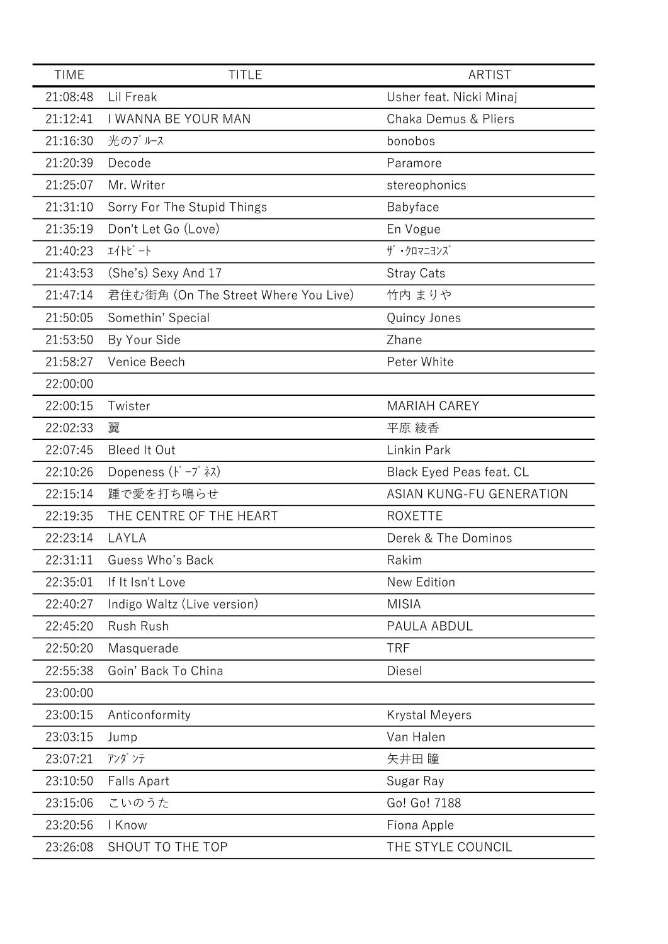| <b>TIME</b> | <b>TITLE</b>                                                            | <b>ARTIST</b>                   |
|-------------|-------------------------------------------------------------------------|---------------------------------|
| 21:08:48    | Lil Freak                                                               | Usher feat. Nicki Minaj         |
| 21:12:41    | I WANNA BE YOUR MAN                                                     | <b>Chaka Demus &amp; Pliers</b> |
| 21:16:30    | 光のブルース                                                                  | bonobos                         |
| 21:20:39    | Decode                                                                  | Paramore                        |
| 21:25:07    | Mr. Writer                                                              | stereophonics                   |
| 21:31:10    | Sorry For The Stupid Things                                             | Babyface                        |
| 21:35:19    | Don't Let Go (Love)                                                     | En Vogue                        |
| 21:40:23    | 퍼사ビ -ト                                                                  | ザ・クロマニヨンズ                       |
| 21:43:53    | (She's) Sexy And 17                                                     | <b>Stray Cats</b>               |
| 21:47:14    | 君住む街角 (On The Street Where You Live)                                    | 竹内 まりや                          |
| 21:50:05    | Somethin' Special                                                       | Quincy Jones                    |
| 21:53:50    | By Your Side                                                            | Zhane                           |
| 21:58:27    | Venice Beech                                                            | Peter White                     |
| 22:00:00    |                                                                         |                                 |
| 22:00:15    | Twister                                                                 | <b>MARIAH CAREY</b>             |
| 22:02:33    | 翼                                                                       | 平原 綾香                           |
| 22:07:45    | <b>Bleed It Out</b>                                                     | Linkin Park                     |
| 22:10:26    | Dopeness $(\overrightarrow{r} - \overrightarrow{r} \overrightarrow{x})$ | <b>Black Eyed Peas feat. CL</b> |
| 22:15:14    | 踵で愛を打ち鳴らせ                                                               | <b>ASIAN KUNG-FU GENERATION</b> |
| 22:19:35    | THE CENTRE OF THE HEART                                                 | <b>ROXETTE</b>                  |
| 22:23:14    | LAYLA                                                                   | Derek & The Dominos             |
| 22:31:11    | Guess Who's Back                                                        | Rakim                           |
| 22:35:01    | If It Isn't Love                                                        | New Edition                     |
| 22:40:27    | Indigo Waltz (Live version)                                             | <b>MISIA</b>                    |
| 22:45:20    | Rush Rush                                                               | PAULA ABDUL                     |
| 22:50:20    | Masquerade                                                              | <b>TRF</b>                      |
| 22:55:38    | Goin' Back To China                                                     | Diesel                          |
| 23:00:00    |                                                                         |                                 |
| 23:00:15    | Anticonformity                                                          | <b>Krystal Meyers</b>           |
| 23:03:15    | Jump                                                                    | Van Halen                       |
| 23:07:21    | アンダンテ                                                                   | 矢井田 瞳                           |
| 23:10:50    | <b>Falls Apart</b>                                                      | Sugar Ray                       |
| 23:15:06    | こいのうた                                                                   | Go! Go! 7188                    |
| 23:20:56    | I Know                                                                  | Fiona Apple                     |
| 23:26:08    | SHOUT TO THE TOP                                                        | THE STYLE COUNCIL               |